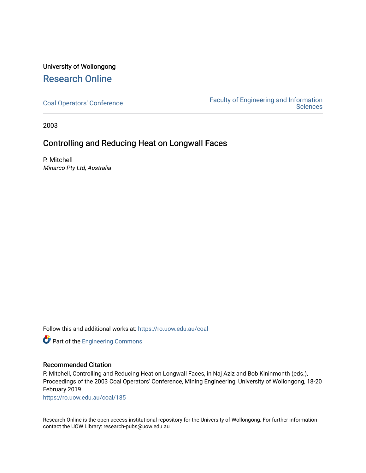## University of Wollongong [Research Online](https://ro.uow.edu.au/)

[Coal Operators' Conference](https://ro.uow.edu.au/coal) [Faculty of Engineering and Information](https://ro.uow.edu.au/eis)  **Sciences** 

2003

## Controlling and Reducing Heat on Longwall Faces

P. Mitchell Minarco Pty Ltd, Australia

Follow this and additional works at: [https://ro.uow.edu.au/coal](https://ro.uow.edu.au/coal?utm_source=ro.uow.edu.au%2Fcoal%2F185&utm_medium=PDF&utm_campaign=PDFCoverPages) 

Part of the [Engineering Commons](http://network.bepress.com/hgg/discipline/217?utm_source=ro.uow.edu.au%2Fcoal%2F185&utm_medium=PDF&utm_campaign=PDFCoverPages)

### Recommended Citation

P. Mitchell, Controlling and Reducing Heat on Longwall Faces, in Naj Aziz and Bob Kininmonth (eds.), Proceedings of the 2003 Coal Operators' Conference, Mining Engineering, University of Wollongong, 18-20 February 2019

[https://ro.uow.edu.au/coal/185](https://ro.uow.edu.au/coal/185?utm_source=ro.uow.edu.au%2Fcoal%2F185&utm_medium=PDF&utm_campaign=PDFCoverPages) 

Research Online is the open access institutional repository for the University of Wollongong. For further information contact the UOW Library: research-pubs@uow.edu.au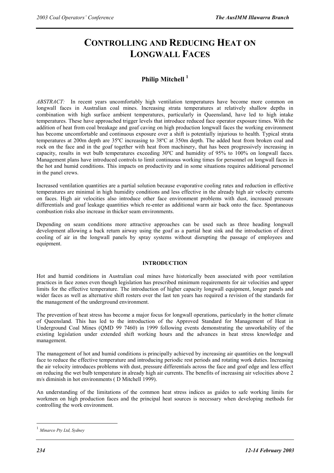# **CONTROLLING AND REDUCING HEAT ON LONGWALL FACES**

### **Philip Mitchell 1**

*ABSTRACT:* In recent years uncomfortably high ventilation temperatures have become more common on longwall faces in Australian coal mines. Increasing strata temperatures at relatively shallow depths in combination with high surface ambient temperatures, particularly in Queensland, have led to high intake temperatures. These have approached trigger levels that introduce reduced face operator exposure times. With the addition of heat from coal breakage and goaf caving on high production longwall faces the working environment has become uncomfortable and continuous exposure over a shift is potentially injurious to health. Typical strata temperatures at 200m depth are 35ºC increasing to 38ºC at 350m depth. The added heat from broken coal and rock on the face and in the goaf together with heat from machinery, that has been progressively increasing in capacity, results in wet bulb temperatures exceeding 30ºC and humidity of 95% to 100% on longwall faces. Management plans have introduced controls to limit continuous working times for personnel on longwall faces in the hot and humid conditions. This impacts on productivity and in some situations requires additional personnel in the panel crews.

Increased ventilation quantities are a partial solution because evaporative cooling rates and reduction in effective temperatures are minimal in high humidity conditions and less effective in the already high air velocity currents on faces. High air velocities also introduce other face environment problems with dust, increased pressure differentials and goaf leakage quantities which re-enter as additional warm air back onto the face. Spontaneous combustion risks also increase in thicker seam environments.

Depending on seam conditions more attractive approaches can be used such as three heading longwall development allowing a back return airway using the goaf as a partial heat sink and the introduction of direct cooling of air in the longwall panels by spray systems without disrupting the passage of employees and equipment.

#### **INTRODUCTION**

Hot and humid conditions in Australian coal mines have historically been associated with poor ventilation practices in face zones even though legislation has prescribed minimum requirements for air velocities and upper limits for the effective temperature. The introduction of higher capacity longwall equipment, longer panels and wider faces as well as alternative shift rosters over the last ten years has required a revision of the standards for the management of the underground environment.

The prevention of heat stress has become a major focus for longwall operations, particularly in the hotter climate of Queensland. This has led to the introduction of the Approved Standard for Management of Heat in Underground Coal Mines (QMD 99 7460) in 1999 following events demonstrating the unworkability of the existing legislation under extended shift working hours and the advances in heat stress knowledge and management.

The management of hot and humid conditions is principally achieved by increasing air quantities on the longwall face to reduce the effective temperature and introducing periodic rest periods and rotating work duties. Increasing the air velocity introduces problems with dust, pressure differentials across the face and goaf edge and less effect on reducing the wet bulb temperature in already high air currents. The benefits of increasing air velocities above 2 m/s diminish in hot environments ( D Mitchell 1999).

An understanding of the limitations of the common heat stress indices as guides to safe working limits for workmen on high production faces and the principal heat sources is necessary when developing methods for controlling the work environment.

 $\overline{a}$ 

<sup>1</sup> *Minarco Pty Ltd, Sydney*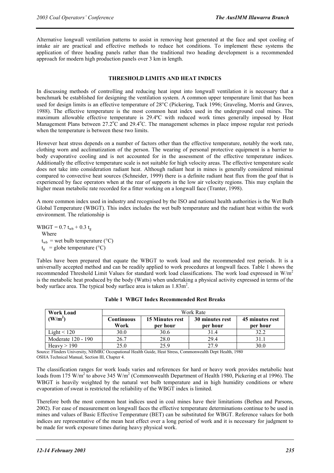Alternative longwall ventilation patterns to assist in removing heat generated at the face and spot cooling of intake air are practical and effective methods to reduce hot conditions. To implement these systems the application of three heading panels rather than the traditional two heading development is a recommended approach for modern high production panels over 3 km in length.

#### **THRESHOLD LIMITS AND HEAT INDICES**

In discussing methods of controlling and reducing heat input into longwall ventilation it is necessary that a benchmark be established for designing the ventilation system. A common upper temperature limit that has been used for design limits is an effective temperature of 28°C (Pickering, Tuck 1996; Graveling, Morris and Graves, 1988). The effective temperature is the most common heat index used in the underground coal mines. The maximum allowable effective temperature is 29.4ºC with reduced work times generally imposed by Heat Management Plans between 27.2°C and 29.4°C. The management schemes in place impose regular rest periods when the temperature is between these two limits.

However heat stress depends on a number of factors other than the effective temperature, notably the work rate, clothing worn and acclimatization of the person. The wearing of personal protective equipment is a barrier to body evaporative cooling and is not accounted for in the assessment of the effective temperature indices. Additionally the effective temperature scale is not suitable for high velocity areas. The effective temperature scale does not take into consideration radiant heat. Although radiant heat in mines is generally considered minimal compared to convective heat sources (Schneider, 1999) there is a definite radiant heat flux from the goaf that is experienced by face operators when at the rear of supports in the low air velocity regions. This may explain the higher mean metabolic rate recorded for a fitter working on a longwall face (Tranter, 1998).

A more common index used in industry and recognised by the ISO and national health authorities is the Wet Bulb Global Temperature (WBGT). This index includes the wet bulb temperature and the radiant heat within the work environment. The relationship is

 $WBGT = 0.7 t_{wb} + 0.3 t_g$ Where  $t_{wb}$  = wet bulb temperature (°C)  $t_{\sigma}$  = globe temperature (°C)

Tables have been prepared that equate the WBGT to work load and the recommended rest periods. It is a universally accepted method and can be readily applied to work procedures at longwall faces. Table 1 shows the recommended Threshold Limit Values for standard work load classifications. The work load expressed in W/m2 is the metabolic heat produced by the body (Watts) when undertaking a physical activity expressed in terms of the body surface area. The typical body surface area is taken as  $1.83 \text{m}^2$ .

| <b>Work Load</b>    | Work Rate          |                             |                             |                             |
|---------------------|--------------------|-----------------------------|-----------------------------|-----------------------------|
| (W/m <sup>2</sup> ) | Continuous<br>Work | 15 Minutes rest<br>per hour | 30 minutes rest<br>per hour | 45 minutes rest<br>per hour |
| Light $\leq 120$    | 30.0               | 30.6                        | 31.4                        | 32.2                        |
| Moderate 120 - 190  | 26.7               | 28.0                        | 29.4                        | 31.1                        |
| Heavy $> 190$       | 25.0               | 25.9                        | 27.9                        | 30.0                        |

|  |  | <b>Table 1 WBGT Index Recommended Rest Breaks</b> |  |
|--|--|---------------------------------------------------|--|
|--|--|---------------------------------------------------|--|

Source: Flinders University, NHMRC Occupational Health Guide, Heat Stress, Commonwealth Dept Health, 1980 OSHA Technical Manual, Section III, Chapter 4.

The classification ranges for work loads varies and references for hard or heavy work provides metabolic heat loads from 175 W/m<sup>2</sup> to above 345 W/m<sup>2</sup> (Commonwealth Department of Health 1980, Pickering et al 1996). The WBGT is heavily weighted by the natural wet bulb temperature and in high humidity conditions or where evaporation of sweat is restricted the reliability of the WBGT index is limited.

Therefore both the most common heat indices used in coal mines have their limitations (Bethea and Parsons, 2002). For ease of measurement on longwall faces the effective temperature determinations continue to be used in mines and values of Basic Effective Temperature (BET) can be substituted for WBGT. Reference values for both indices are representative of the mean heat effect over a long period of work and it is necessary for judgment to be made for work exposure times during heavy physical work.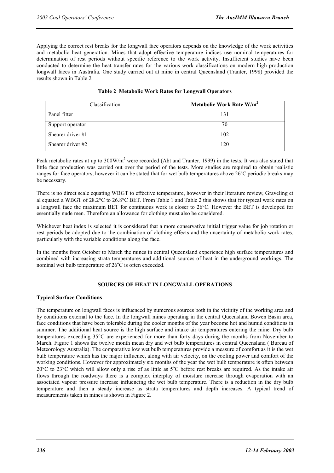Applying the correct rest breaks for the longwall face operators depends on the knowledge of the work activities and metabolic heat generation. Mines that adopt effective temperature indices use nominal temperatures for determination of rest periods without specific reference to the work activity. Insufficient studies have been conducted to determine the heat transfer rates for the various work classifications on modern high production longwall faces in Australia. One study carried out at mine in central Queensland (Tranter, 1998) provided the results shown in Table 2*.*

| Classification      | Metabolic Work Rate W/m <sup>2</sup> |  |
|---------------------|--------------------------------------|--|
| Panel fitter        | 131                                  |  |
| Support operator    | 70                                   |  |
| Shearer driver $#1$ | 102                                  |  |
| Shearer driver $#2$ | 120                                  |  |

#### **Table 2 Metabolic Work Rates for Longwall Operators**

Peak metabolic rates at up to  $300W/m<sup>2</sup>$  were recorded (Abt and Tranter, 1999) in the tests. It was also stated that little face production was carried out over the period of the tests. More studies are required to obtain realistic ranges for face operators, however it can be stated that for wet bulb temperatures above  $26^{\circ}$ C periodic breaks may be necessary.

There is no direct scale equating WBGT to effective temperature, however in their literature review, Graveling et al equated a WBGT of 28.2°C to 26.8°C BET. From Table 1 and Table 2 this shows that for typical work rates on a longwall face the maximum BET for continuous work is closer to 26°C. However the BET is developed for essentially nude men. Therefore an allowance for clothing must also be considered.

Whichever heat index is selected it is considered that a more conservative initial trigger value for job rotation or rest periods be adopted due to the combination of clothing effects and the uncertainty of metabolic work rates, particularly with the variable conditions along the face.

In the months from October to March the mines in central Queensland experience high surface temperatures and combined with increasing strata temperatures and additional sources of heat in the underground workings. The nominal wet bulb temperature of  $26^{\circ}$ C is often exceeded.

#### **SOURCES OF HEAT IN LONGWALL OPERATIONS**

#### **Typical Surface Conditions**

The temperature on longwall faces is influenced by numerous sources both in the vicinity of the working area and by conditions external to the face. In the longwall mines operating in the central Queensland Bowen Basin area, face conditions that have been tolerable during the cooler months of the year become hot and humid conditions in summer. The additional heat source is the high surface and intake air temperatures entering the mine. Dry bulb temperatures exceeding 35°C are experienced for more than forty days during the months from November to March. Figure 1 shows the twelve month mean dry and wet bulb temperatures in central Queensland ( Bureau of Meteorology Australia). The comparative low wet bulb temperatures provide a measure of comfort as it is the wet bulb temperature which has the major influence, along with air velocity, on the cooling power and comfort of the working conditions. However for approximately six months of the year the wet bulb temperature is often between 20 $\rm{°C}$  to 23 $\rm{°C}$  which will allow only a rise of as little as  $5\rm{°C}$  before rest breaks are required. As the intake air flows through the roadways there is a complex interplay of moisture increase through evaporation with an associated vapour pressure increase influencing the wet bulb temperature. There is a reduction in the dry bulb temperature and then a steady increase as strata temperatures and depth increases. A typical trend of measurements taken in mines is shown in Figure 2.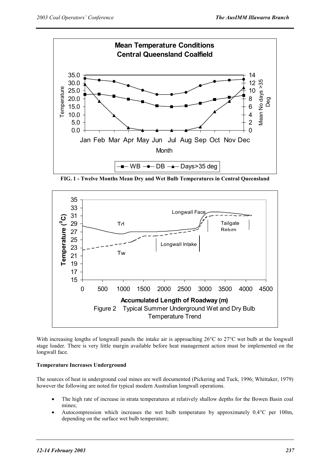

**FIG. 1 - Twelve Months Mean Dry and Wet Bulb Temperatures in Central Queensland** 



With increasing lengths of longwall panels the intake air is approaching 26°C to 27°C wet bulb at the longwall stage loader. There is very little margin available before heat management action must be implemented on the longwall face.

#### **Temperature Increases Underground**

The sources of heat in underground coal mines are well documented (Pickering and Tuck, 1996; Whittaker, 1979) however the following are noted for typical modern Australian longwall operations.

- The high rate of increase in strata temperatures at relatively shallow depths for the Bowen Basin coal mines;
- Autocompression which increases the wet bulb temperature by approximately 0.4°C per 100m, depending on the surface wet bulb temperature;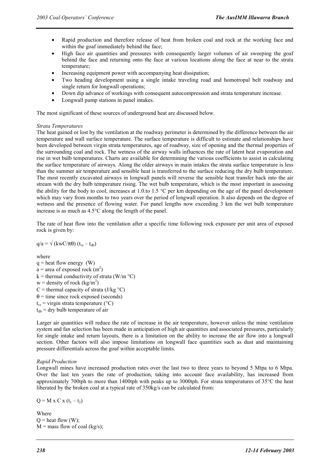- Rapid production and therefore release of heat from broken coal and rock at the working face and within the goaf immediately behind the face;
- High face air quantities and pressures with consequently larger volumes of air sweeping the goaf behind the face and returning onto the face at various locations along the face at near to the strata temperature;
- Increasing equipment power with accompanying heat dissipation;
- Two heading development using a single intake traveling road and homotropal belt roadway and single return for longwall operations;
- Down dip advance of workings with consequent autocompression and strata temperature increase.
- Longwall pump stations in panel intakes.

The most significant of these sources of underground heat are discussed below.

#### *Strata Temperatures*

The heat gained or lost by the ventilation at the roadway perimeter is determined by the difference between the air temperature and wall surface temperature. The surface temperature is difficult to estimate and relationships have been developed between virgin strata temperatures, age of roadway, size of opening and the thermal properties of the surrounding coal and rock. The wetness of the airway walls influences the rate of latent heat evaporation and rise in wet bulb temperatures. Charts are available for determining the various coefficients to assist in calculating the surface temperature of airways. Along the older airways in main intakes the strata surface temperature is less than the summer air temperature and sensible heat is transferred to the surface reducing the dry bulb temperature. The most recently excavated airways in longwall panels will reverse the sensible heat transfer back into the air stream with the dry bulb temperature rising. The wet bulb temperature, which is the most important in assessing the ability for the body to cool, increases at 1.0.to 1.5 °C per km depending on the age of the panel development which may vary from months to two years over the period of longwall operation. It also depends on the degree of wetness and the presence of flowing water. For panel lengths now exceeding 3 km the wet bulb temperature increase is as much as 4.5°C along the length of the panel.

The rate of heat flow into the ventilation after a specific time following rock exposure per unit area of exposed rock is given by:

$$
q/a = \sqrt{(kwC/\pi\theta)(t_{vr} - t_{db})}
$$

where

 $q =$  heat flow energy (W)  $a =$  area of exposed rock  $(m<sup>2</sup>)$  $k =$  thermal conductivity of strata (W/m  $^{\circ}$ C) w = density of rock  $\frac{\text{kg}}{m^3}$  $C =$  thermal capacity of strata (J/kg  $\degree$ C)  $\theta$  = time since rock exposed (seconds)  $t_{vr}$  = virgin strata temperature (°C)  $t_{db}$  = dry bulb temperature of air

Larger air quantities will reduce the rate of increase in the air temperature, however unless the mine ventilation system and fan selection has been made in anticipation of high air quantities and associated pressures, particularly for single intake and return layouts, there is a limitation on the ability to increase the air flow into a longwall section. Other factors will also impose limitations on longwall face quantities such as dust and maintaining pressure differentials across the goaf within acceptable limits.

#### *Rapid Production*

Longwall mines have increased production rates over the last two to three years to beyond 5 Mtpa to 6 Mtpa. Over the last ten years the rate of production, taking into account face availability, has increased from approximately 700tph to more than 1400tph with peaks up to 3000tph. For strata temperatures of  $35^{\circ}$ C the heat liberated by the broken coal at a typical rate of 350kg/s can be calculated from:

 $Q = M x C x (t_1 - t_2)$ 

Where  $Q =$  heat flow  $(W)$ ;  $M =$  mass flow of coal (kg/s);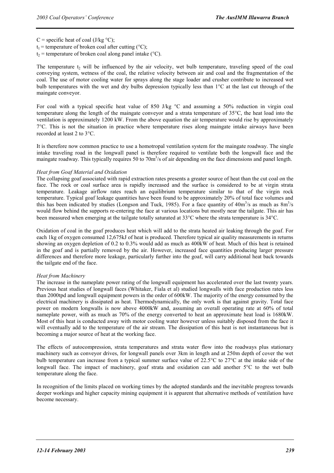$C$  = specific heat of coal (J/kg  $\degree$ C);

 $t_1$  = temperature of broken coal after cutting (°C);

 $t_2$  = temperature of broken coal along panel intake (°C).

The temperature  $t_2$  will be influenced by the air velocity, wet bulb temperature, traveling speed of the coal conveying system, wetness of the coal, the relative velocity between air and coal and the fragmentation of the coal. The use of motor cooling water for sprays along the stage loader and crusher contribute to increased wet bulb temperatures with the wet and dry bulbs depression typically less than 1°C at the last cut through of the maingate conveyor.

For coal with a typical specific heat value of 850 J/kg °C and assuming a 50% reduction in virgin coal temperature along the length of the maingate conveyor and a strata temperature of 35°C, the heat load into the ventilation is approximately 1200 kW. From the above equation the air temperature would rise by approximately  $7^{\circ}$ C. This is not the situation in practice where temperature rises along maingate intake airways have been recorded at least 2 to 3°C.

It is therefore now common practice to use a homotropal ventilation system for the maingate roadway. The single intake traveling road in the longwall panel is therefore required to ventilate both the longwall face and the maingate roadway. This typically requires 50 to 70m<sup>3</sup>/s of air depending on the face dimensions and panel length.

#### *Heat from Goaf Material and Oxidation*

The collapsing goaf associated with rapid extraction rates presents a greater source of heat than the cut coal on the face. The rock or coal surface area is rapidly increased and the surface is considered to be at virgin strata temperature. Leakage airflow rates reach an equilibrium temperature similar to that of the virgin rock temperature. Typical goaf leakage quantities have been found to be approximately 20% of total face volumes and this has been indicated by studies (Longson and Tuck, 1985). For a face quantity of  $40m^3/s$  as much as  $8m^3/s$ would flow behind the supports re-entering the face at various locations but mostly near the tailgate. This air has been measured when emerging at the tailgate totally saturated at 33°C where the strata temperature is 34°C.

Oxidation of coal in the goaf produces heat which will add to the strata heated air leaking through the goaf. For each 1kg of oxygen consumed 12,675kJ of heat is produced. Therefore typical air quality measurements in returns showing an oxygen depletion of 0.2 to 0.3% would add as much as 400kW of heat. Much of this heat is retained in the goaf and is partially removed by the air. However, increased face quantities producing larger pressure differences and therefore more leakage, particularly further into the goaf, will carry additional heat back towards the tailgate end of the face.

#### *Heat from Machinery*

The increase in the nameplate power rating of the longwall equipment has accelerated over the last twenty years. Previous heat studies of longwall faces (Whitaker, Fiala et al) studied longwalls with face production rates less than 2000tpd and longwall equipment powers in the order of 600kW. The majority of the energy consumed by the electrical machinery is dissipated as heat. Thermodynamically, the only work is that against gravity. Total face power on modern longwalls is now above 4000kW and, assuming an overall operating rate at 60% of total nameplate power, with as much as 70% of the energy converted to heat an approximate heat load is 1680kW. Most of this heat is conducted away with motor cooling water however unless suitably disposed from the face it will eventually add to the temperature of the air stream. The dissipation of this heat is not instantaneous but is becoming a major source of heat at the working face.

The effects of autocompression, strata temperatures and strata water flow into the roadways plus stationary machinery such as conveyor drives, for longwall panels over 3km in length and at 250m depth of cover the wet bulb temperature can increase from a typical summer surface value of 22.5°C to 27°C at the intake side of the longwall face. The impact of machinery, goaf strata and oxidation can add another 5°C to the wet bulb temperature along the face.

In recognition of the limits placed on working times by the adopted standards and the inevitable progress towards deeper workings and higher capacity mining equipment it is apparent that alternative methods of ventilation have become necessary.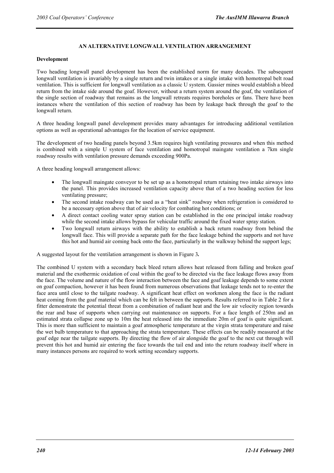#### **AN ALTERNATIVE LONGWALL VENTILATION ARRANGEMENT**

#### **Development**

Two heading longwall panel development has been the established norm for many decades. The subsequent longwall ventilation is invariably by a single return and twin intakes or a single intake with homotropal belt road ventilation. This is sufficient for longwall ventilation as a classic U system. Gassier mines would establish a bleed return from the intake side around the goaf. However, without a return system around the goaf, the ventilation of the single section of roadway that remains as the longwall retreats requires boreholes or fans. There have been instances where the ventilation of this section of roadway has been by leakage back through the goaf to the longwall return.

A three heading longwall panel development provides many advantages for introducing additional ventilation options as well as operational advantages for the location of service equipment.

The development of two heading panels beyond 3.5km requires high ventilating pressures and when this method is combined with a simple U system of face ventilation and homotropal maingate ventilation a 7km single roadway results with ventilation pressure demands exceeding 900Pa.

A three heading longwall arrangement allows:

- The longwall maingate conveyor to be set up as a homotropal return retaining two intake airways into the panel. This provides increased ventilation capacity above that of a two heading section for less ventilating pressure;
- The second intake roadway can be used as a "heat sink" roadway when refrigeration is considered to be a necessary option above that of air velocity for combating hot conditions; or
- A direct contact cooling water spray station can be established in the one principal intake roadway while the second intake allows bypass for vehicular traffic around the fixed water spray station.
- Two longwall return airways with the ability to establish a back return roadway from behind the longwall face. This will provide a separate path for the face leakage behind the supports and not have this hot and humid air coming back onto the face, particularly in the walkway behind the support legs;

A suggested layout for the ventilation arrangement is shown in Figure 3*.* 

The combined U system with a secondary back bleed return allows heat released from falling and broken goaf material and the exothermic oxidation of coal within the goaf to be directed via the face leakage flows away from the face. The volume and nature of the flow interaction between the face and goaf leakage depends to some extent on goaf compaction, however it has been found from numerous observations that leakage tends not to re-enter the face area until close to the tailgate roadway. A significant heat effect on workmen along the face is the radiant heat coming from the goaf material which can be felt in between the supports. Results referred to in Table 2 for a fitter demonstrate the potential threat from a combination of radiant heat and the low air velocity region towards the rear and base of supports when carrying out maintenance on supports. For a face length of 250m and an estimated strata collapse zone up to 10m the heat released into the immediate 20m of goaf is quite significant. This is more than sufficient to maintain a goaf atmospheric temperature at the virgin strata temperature and raise the wet bulb temperature to that approaching the strata temperature. These effects can be readily measured at the goaf edge near the tailgate supports. By directing the flow of air alongside the goaf to the next cut through will prevent this hot and humid air entering the face towards the tail end and into the return roadway itself where in many instances persons are required to work setting secondary supports.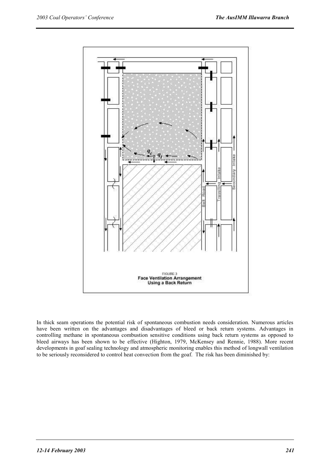

In thick seam operations the potential risk of spontaneous combustion needs consideration. Numerous articles have been written on the advantages and disadvantages of bleed or back return systems. Advantages in controlling methane in spontaneous combustion sensitive conditions using back return systems as opposed to bleed airways has been shown to be effective (Highton, 1979, McKensey and Rennie, 1988). More recent developments in goaf sealing technology and atmospheric monitoring enables this method of longwall ventilation to be seriously reconsidered to control heat convection from the goaf. The risk has been diminished by: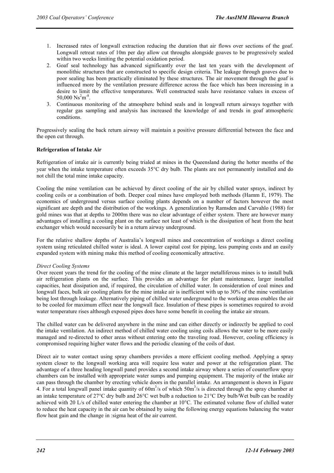- 1. Increased rates of longwall extraction reducing the duration that air flows over sections of the goaf. Longwall retreat rates of 10m per day allow cut throughs alongside goaves to be progressively sealed within two weeks limiting the potential oxidation period.
- 2. Goaf seal technology has advanced significantly over the last ten years with the development of monolithic structures that are constructed to specific design criteria. The leakage through goaves due to poor sealing has been practically eliminated by these structures. The air movement through the goaf is influenced more by the ventilation pressure difference across the face which has been increasing in a desire to limit the effective temperatures. Well constructed seals have resistance values in excess of  $50,000 \text{ Ns}^2 \text{m}^{-8}$ .
- 3. Continuous monitoring of the atmosphere behind seals and in longwall return airways together with regular gas sampling and analysis has increased the knowledge of and trends in goaf atmospheric conditions.

Progressively sealing the back return airway will maintain a positive pressure differential between the face and the open cut through.

#### **Refrigeration of Intake Air**

Refrigeration of intake air is currently being trialed at mines in the Queensland during the hotter months of the year when the intake temperature often exceeds 35°C dry bulb. The plants are not permanently installed and do not chill the total mine intake capacity.

Cooling the mine ventilation can be achieved by direct cooling of the air by chilled water sprays, indirect by cooling coils or a combination of both. Deeper coal mines have employed both methods (Hamm E, 1979). The economics of underground versus surface cooling plants depends on a number of factors however the most significant are depth and the distribution of the workings. A generalization by Ramsden and Carvahlo (1988) for gold mines was that at depths to 2000m there was no clear advantage of either system. There are however many advantages of installing a cooling plant on the surface not least of which is the dissipation of heat from the heat exchanger which would necessarily be in a return airway underground.

For the relative shallow depths of Australia's longwall mines and concentration of workings a direct cooling system using reticulated chilled water is ideal. A lower capital cost for piping, less pumping costs and an easily expanded system with mining make this method of cooling economically attractive.

#### *Direct Cooling Systems*

Over recent years the trend for the cooling of the mine climate at the larger metalliferous mines is to install bulk air refrigeration plants on the surface. This provides an advantage for plant maintenance, larger installed capacities, heat dissipation and, if required, the circulation of chilled water. In consideration of coal mines and longwall faces, bulk air cooling plants for the mine intake air is inefficient with up to 30% of the mine ventilation being lost through leakage. Alternatively piping of chilled water underground to the working areas enables the air to be cooled for maximum effect near the longwall face. Insulation of these pipes is sometimes required to avoid water temperature rises although exposed pipes does have some benefit in cooling the intake air stream.

The chilled water can be delivered anywhere in the mine and can either directly or indirectly be applied to cool the intake ventilation. An indirect method of chilled water cooling using coils allows the water to be more easily managed and re-directed to other areas without entering onto the traveling road. However, cooling efficiency is compromised requiring higher water flows and the periodic cleaning of the coils of dust.

Direct air to water contact using spray chambers provides a more efficient cooling method. Applying a spray system closer to the longwall working area will require less water and power at the refrigeration plant. The advantage of a three heading longwall panel provides a second intake airway where a series of counterflow spray chambers can be installed with appropriate water sumps and pumping equipment. The majority of the intake air can pass through the chamber by erecting vehicle doors in the parallel intake. An arrangement is shown in Figure 4. For a total longwall panel intake quantity of  $60m<sup>3</sup>/s$  of which  $50m<sup>3</sup>/s$  is directed through the spray chamber at an intake temperature of 27 $\degree$ C dry bulb and 26 $\degree$ C wet bulb a reduction to 21 $\degree$ C Dry bulb/Wet bulb can be readily achieved with 20 L/s of chilled water entering the chamber at 10°C. The estimated volume flow of chilled water to reduce the heat capacity in the air can be obtained by using the following energy equations balancing the water flow heat gain and the change in :sigma heat of the air current.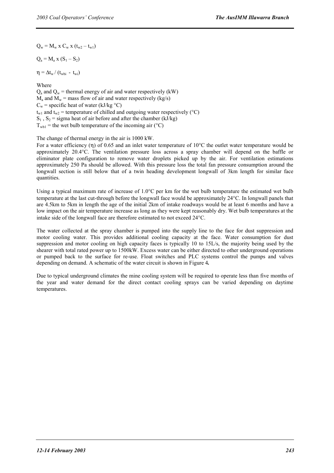$Q_w = M_w x C_w x (t_{w2} - t_{w1})$ 

 $Q_a = M_a x (S_1 - S_2)$ 

 $\eta = \Delta t_w / (t_{\text{whi}} - t_{\text{wi}})$ 

Where

 $Q_a$  and  $Q_w$  = thermal energy of air and water respectively (kW)  $M_a$  and  $M_w$  = mass flow of air and water respectively (kg/s)  $C_w$  = specific heat of water (kJ/kg  $\degree$ C)  $t_{w1}$  and  $t_{w2}$  = temperature of chilled and outgoing water respectively (°C)  $S_1$ ,  $S_2$  = sigma heat of air before and after the chamber (kJ/kg)  $T_{wh1}$  = the wet bulb temperature of the incoming air (°C)

The change of thermal energy in the air is 1000 kW.

For a water efficiency (η) of 0.65 and an inlet water temperature of 10°C the outlet water temperature would be approximately 20.4°C. The ventilation pressure loss across a spray chamber will depend on the baffle or eliminator plate configuration to remove water droplets picked up by the air. For ventilation estimations approximately 250 Pa should be allowed. With this pressure loss the total fan pressure consumption around the longwall section is still below that of a twin heading development longwall of 3km length for similar face quantities.

Using a typical maximum rate of increase of 1.0°C per km for the wet bulb temperature the estimated wet bulb temperature at the last cut-through before the longwall face would be approximately 24°C. In longwall panels that are 4.5km to 5km in length the age of the initial 2km of intake roadways would be at least 6 months and have a low impact on the air temperature increase as long as they were kept reasonably dry. Wet bulb temperatures at the intake side of the longwall face are therefore estimated to not exceed 24°C.

The water collected at the spray chamber is pumped into the supply line to the face for dust suppression and motor cooling water. This provides additional cooling capacity at the face. Water consumption for dust suppression and motor cooling on high capacity faces is typically 10 to 15L/s, the majority being used by the shearer with total rated power up to 1500kW. Excess water can be either directed to other underground operations or pumped back to the surface for re-use. Float switches and PLC systems control the pumps and valves depending on demand. A schematic of the water circuit is shown in Figure 4*.*

Due to typical underground climates the mine cooling system will be required to operate less than five months of the year and water demand for the direct contact cooling sprays can be varied depending on daytime temperatures.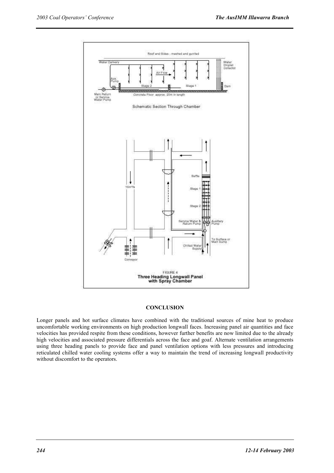

#### **CONCLUSION**

Longer panels and hot surface climates have combined with the traditional sources of mine heat to produce uncomfortable working environments on high production longwall faces. Increasing panel air quantities and face velocities has provided respite from these conditions, however further benefits are now limited due to the already high velocities and associated pressure differentials across the face and goaf. Alternate ventilation arrangements using three heading panels to provide face and panel ventilation options with less pressures and introducing reticulated chilled water cooling systems offer a way to maintain the trend of increasing longwall productivity without discomfort to the operators.